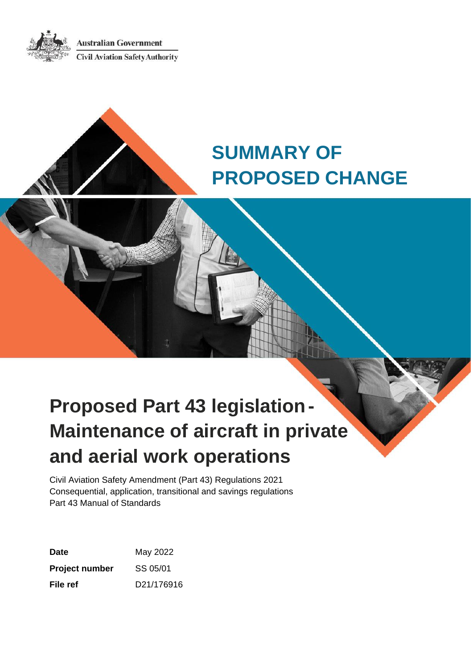**Australian Government Civil Aviation Safety Authority** 



# **SUMMARY OF PROPOSED CHANGE**

# **Proposed Part 43 legislation-Maintenance of aircraft in private and aerial work operations**

Civil Aviation Safety Amendment (Part 43) Regulations 2021 Consequential, application, transitional and savings regulations Part 43 Manual of Standards

| Date                  | May 2022   |
|-----------------------|------------|
| <b>Project number</b> | SS 05/01   |
| File ref              | D21/176916 |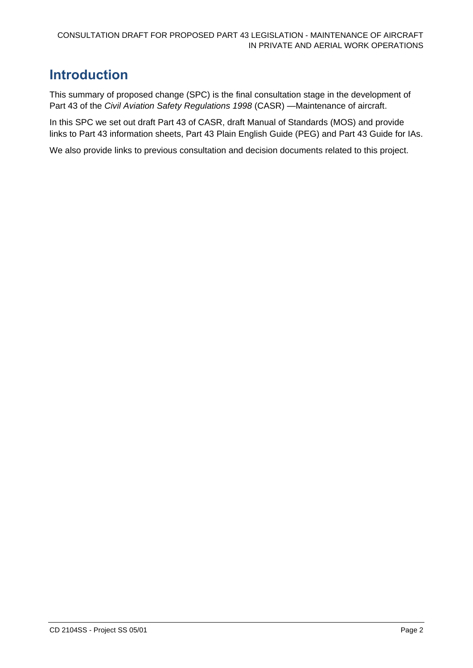# <span id="page-1-0"></span>**Introduction**

This summary of proposed change (SPC) is the final consultation stage in the development of Part 43 of the *Civil Aviation Safety Regulations 1998* (CASR) —Maintenance of aircraft.

In this SPC we set out draft Part 43 of CASR, draft Manual of Standards (MOS) and provide links to Part 43 information sheets, Part 43 Plain English Guide (PEG) and Part 43 Guide for IAs.

We also provide links to previous consultation and decision documents related to this project.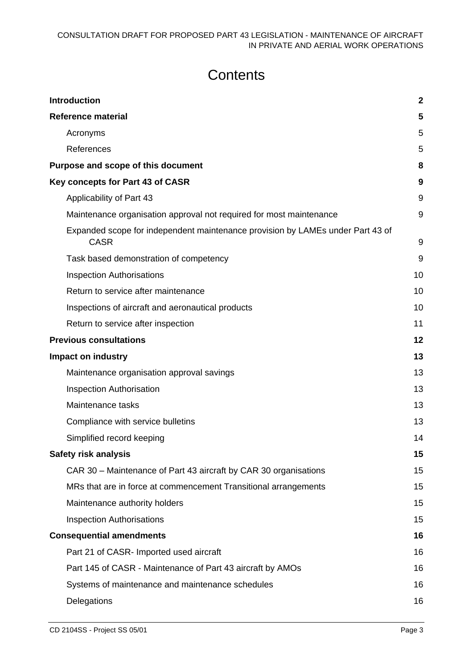# **Contents**

| <b>Introduction</b>                                                                           |    |
|-----------------------------------------------------------------------------------------------|----|
| <b>Reference material</b>                                                                     | 5  |
| Acronyms                                                                                      | 5  |
| References                                                                                    | 5  |
| Purpose and scope of this document                                                            | 8  |
| Key concepts for Part 43 of CASR                                                              | 9  |
| Applicability of Part 43                                                                      | 9  |
| Maintenance organisation approval not required for most maintenance                           | 9  |
| Expanded scope for independent maintenance provision by LAMEs under Part 43 of<br><b>CASR</b> | 9  |
| Task based demonstration of competency                                                        | 9  |
| <b>Inspection Authorisations</b>                                                              | 10 |
| Return to service after maintenance                                                           | 10 |
| Inspections of aircraft and aeronautical products                                             | 10 |
| Return to service after inspection                                                            | 11 |
| <b>Previous consultations</b>                                                                 | 12 |
| <b>Impact on industry</b>                                                                     | 13 |
| Maintenance organisation approval savings                                                     | 13 |
| <b>Inspection Authorisation</b>                                                               | 13 |
| Maintenance tasks                                                                             | 13 |
| Compliance with service bulletins                                                             | 13 |
| Simplified record keeping                                                                     | 14 |
| <b>Safety risk analysis</b>                                                                   | 15 |
| CAR 30 - Maintenance of Part 43 aircraft by CAR 30 organisations                              | 15 |
| MRs that are in force at commencement Transitional arrangements                               | 15 |
| Maintenance authority holders                                                                 | 15 |
| <b>Inspection Authorisations</b>                                                              | 15 |
| <b>Consequential amendments</b>                                                               | 16 |
| Part 21 of CASR- Imported used aircraft                                                       | 16 |
| Part 145 of CASR - Maintenance of Part 43 aircraft by AMOs                                    | 16 |
| Systems of maintenance and maintenance schedules                                              | 16 |
| Delegations                                                                                   | 16 |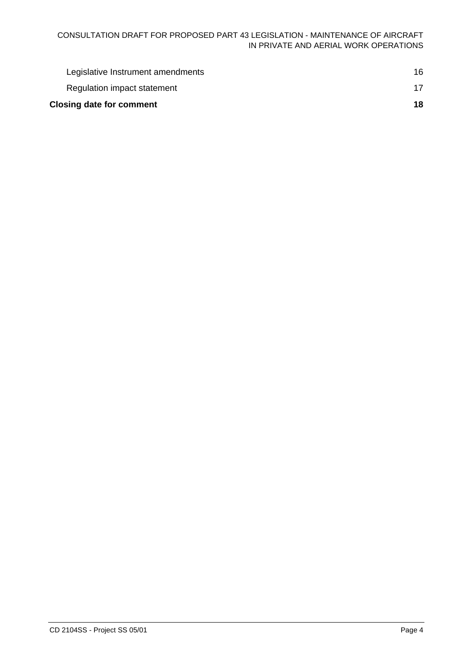| <b>Closing date for comment</b> |                                   | 18  |
|---------------------------------|-----------------------------------|-----|
|                                 | Regulation impact statement       |     |
|                                 | Legislative Instrument amendments | 16. |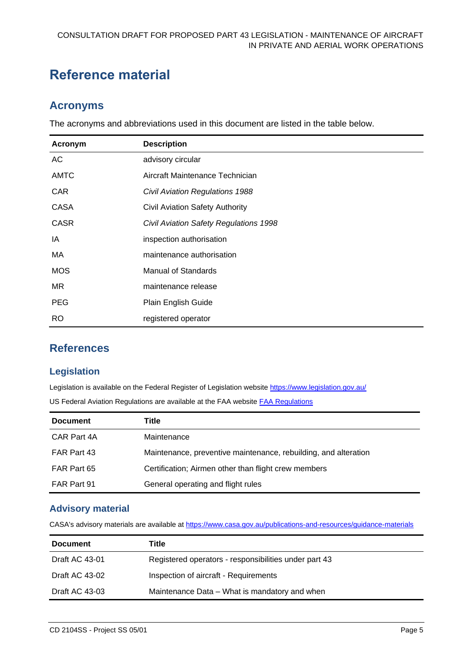# <span id="page-4-0"></span>**Reference material**

### <span id="page-4-1"></span>**Acronyms**

The acronyms and abbreviations used in this document are listed in the table below.

| Acronym     | <b>Description</b>                     |
|-------------|----------------------------------------|
| AC          | advisory circular                      |
| <b>AMTC</b> | Aircraft Maintenance Technician        |
| <b>CAR</b>  | <b>Civil Aviation Regulations 1988</b> |
| <b>CASA</b> | Civil Aviation Safety Authority        |
| <b>CASR</b> | Civil Aviation Safety Regulations 1998 |
| IA          | inspection authorisation               |
| MA.         | maintenance authorisation              |
| <b>MOS</b>  | <b>Manual of Standards</b>             |
| MR.         | maintenance release                    |
| <b>PEG</b>  | Plain English Guide                    |
| <b>RO</b>   | registered operator                    |

#### <span id="page-4-2"></span>**References**

#### **Legislation**

Legislation is available on the Federal Register of Legislation website<https://www.legislation.gov.au/>

US Federal Aviation Regulations are available at the FAA website **[FAA Regulations](https://www.faa.gov/regulations_policies/faa_regulations/)** 

| Title                                                           |
|-----------------------------------------------------------------|
| Maintenance                                                     |
| Maintenance, preventive maintenance, rebuilding, and alteration |
| Certification; Airmen other than flight crew members            |
| General operating and flight rules                              |
|                                                                 |

#### **Advisory material**

CASA's advisory materials are available at<https://www.casa.gov.au/publications-and-resources/guidance-materials>

| <b>Document</b>       | Title                                                 |
|-----------------------|-------------------------------------------------------|
| <b>Draft AC 43-01</b> | Registered operators - responsibilities under part 43 |
| Draft AC 43-02        | Inspection of aircraft - Requirements                 |
| Draft AC 43-03        | Maintenance Data – What is mandatory and when         |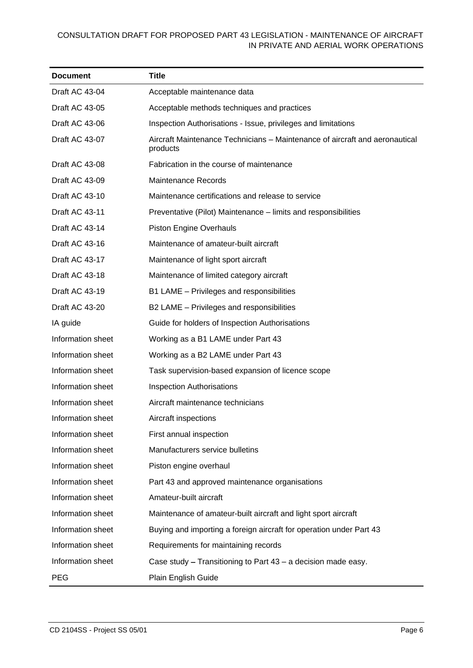#### CONSULTATION DRAFT FOR PROPOSED PART 43 LEGISLATION - MAINTENANCE OF AIRCRAFT IN PRIVATE AND AERIAL WORK OPERATIONS

| <b>Document</b>       | <b>Title</b>                                                                            |
|-----------------------|-----------------------------------------------------------------------------------------|
| Draft AC 43-04        | Acceptable maintenance data                                                             |
| Draft AC 43-05        | Acceptable methods techniques and practices                                             |
| Draft AC 43-06        | Inspection Authorisations - Issue, privileges and limitations                           |
| Draft AC 43-07        | Aircraft Maintenance Technicians – Maintenance of aircraft and aeronautical<br>products |
| Draft AC 43-08        | Fabrication in the course of maintenance                                                |
| Draft AC 43-09        | <b>Maintenance Records</b>                                                              |
| Draft AC 43-10        | Maintenance certifications and release to service                                       |
| Draft AC 43-11        | Preventative (Pilot) Maintenance – limits and responsibilities                          |
| Draft AC 43-14        | <b>Piston Engine Overhauls</b>                                                          |
| <b>Draft AC 43-16</b> | Maintenance of amateur-built aircraft                                                   |
| Draft AC 43-17        | Maintenance of light sport aircraft                                                     |
| Draft AC 43-18        | Maintenance of limited category aircraft                                                |
| Draft AC 43-19        | B1 LAME - Privileges and responsibilities                                               |
| Draft AC 43-20        | B2 LAME - Privileges and responsibilities                                               |
| IA guide              | Guide for holders of Inspection Authorisations                                          |
| Information sheet     | Working as a B1 LAME under Part 43                                                      |
| Information sheet     | Working as a B2 LAME under Part 43                                                      |
| Information sheet     | Task supervision-based expansion of licence scope                                       |
| Information sheet     | <b>Inspection Authorisations</b>                                                        |
| Information sheet     | Aircraft maintenance technicians                                                        |
| Information sheet     | Aircraft inspections                                                                    |
| Information sheet     | First annual inspection                                                                 |
| Information sheet     | Manufacturers service bulletins                                                         |
| Information sheet     | Piston engine overhaul                                                                  |
| Information sheet     | Part 43 and approved maintenance organisations                                          |
| Information sheet     | Amateur-built aircraft                                                                  |
| Information sheet     | Maintenance of amateur-built aircraft and light sport aircraft                          |
| Information sheet     | Buying and importing a foreign aircraft for operation under Part 43                     |
| Information sheet     | Requirements for maintaining records                                                    |
| Information sheet     | Case study – Transitioning to Part 43 – a decision made easy.                           |
| <b>PEG</b>            | Plain English Guide                                                                     |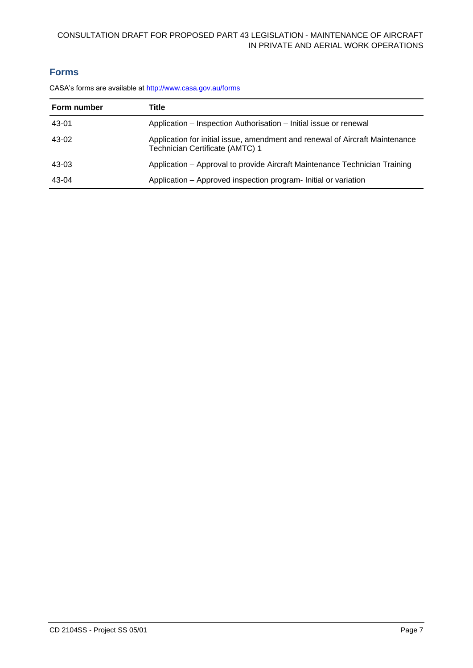#### CONSULTATION DRAFT FOR PROPOSED PART 43 LEGISLATION - MAINTENANCE OF AIRCRAFT IN PRIVATE AND AERIAL WORK OPERATIONS

#### **Forms**

CASA's forms are available at <http://www.casa.gov.au/forms>

| Form number | Title                                                                                                           |
|-------------|-----------------------------------------------------------------------------------------------------------------|
| 43-01       | Application – Inspection Authorisation – Initial issue or renewal                                               |
| 43-02       | Application for initial issue, amendment and renewal of Aircraft Maintenance<br>Technician Certificate (AMTC) 1 |
| 43-03       | Application – Approval to provide Aircraft Maintenance Technician Training                                      |
| 43-04       | Application - Approved inspection program- Initial or variation                                                 |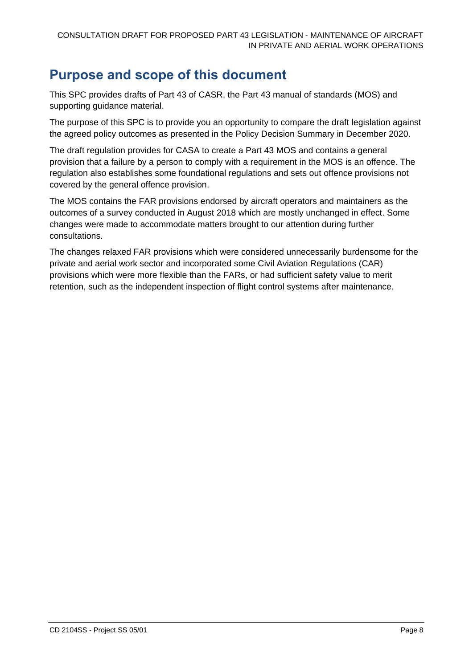# <span id="page-7-0"></span>**Purpose and scope of this document**

This SPC provides drafts of Part 43 of CASR, the Part 43 manual of standards (MOS) and supporting guidance material.

The purpose of this SPC is to provide you an opportunity to compare the draft legislation against the agreed policy outcomes as presented in the Policy Decision Summary in December 2020.

The draft regulation provides for CASA to create a Part 43 MOS and contains a general provision that a failure by a person to comply with a requirement in the MOS is an offence. The regulation also establishes some foundational regulations and sets out offence provisions not covered by the general offence provision.

The MOS contains the FAR provisions endorsed by aircraft operators and maintainers as the outcomes of a survey conducted in August 2018 which are mostly unchanged in effect. Some changes were made to accommodate matters brought to our attention during further consultations.

The changes relaxed FAR provisions which were considered unnecessarily burdensome for the private and aerial work sector and incorporated some Civil Aviation Regulations (CAR) provisions which were more flexible than the FARs, or had sufficient safety value to merit retention, such as the independent inspection of flight control systems after maintenance.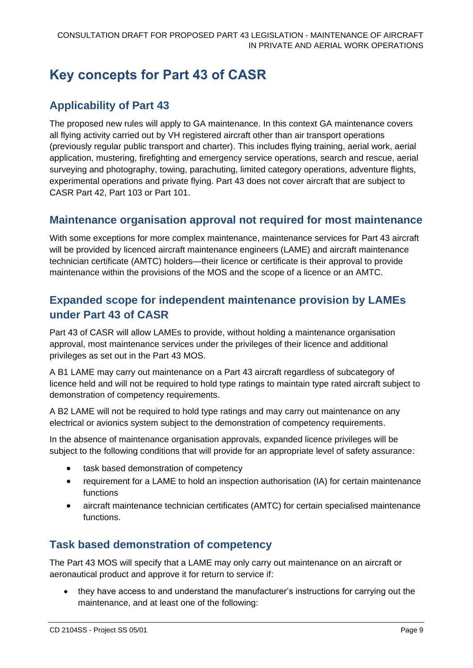# <span id="page-8-0"></span>**Key concepts for Part 43 of CASR**

## <span id="page-8-1"></span>**Applicability of Part 43**

The proposed new rules will apply to GA maintenance. In this context GA maintenance covers all flying activity carried out by VH registered aircraft other than air transport operations (previously regular public transport and charter). This includes flying training, aerial work, aerial application, mustering, firefighting and emergency service operations, search and rescue, aerial surveying and photography, towing, parachuting, limited category operations, adventure flights, experimental operations and private flying. Part 43 does not cover aircraft that are subject to CASR Part 42, Part 103 or Part 101.

#### <span id="page-8-2"></span>**Maintenance organisation approval not required for most maintenance**

With some exceptions for more complex maintenance, maintenance services for Part 43 aircraft will be provided by licenced aircraft maintenance engineers (LAME) and aircraft maintenance technician certificate (AMTC) holders—their licence or certificate is their approval to provide maintenance within the provisions of the MOS and the scope of a licence or an AMTC.

### <span id="page-8-3"></span>**Expanded scope for independent maintenance provision by LAMEs under Part 43 of CASR**

Part 43 of CASR will allow LAMEs to provide, without holding a maintenance organisation approval, most maintenance services under the privileges of their licence and additional privileges as set out in the Part 43 MOS.

A B1 LAME may carry out maintenance on a Part 43 aircraft regardless of subcategory of licence held and will not be required to hold type ratings to maintain type rated aircraft subject to demonstration of competency requirements.

A B2 LAME will not be required to hold type ratings and may carry out maintenance on any electrical or avionics system subject to the demonstration of competency requirements.

In the absence of maintenance organisation approvals, expanded licence privileges will be subject to the following conditions that will provide for an appropriate level of safety assurance:

- task based demonstration of competency
- requirement for a LAME to hold an inspection authorisation (IA) for certain maintenance functions
- aircraft maintenance technician certificates (AMTC) for certain specialised maintenance functions.

### <span id="page-8-4"></span>**Task based demonstration of competency**

The Part 43 MOS will specify that a LAME may only carry out maintenance on an aircraft or aeronautical product and approve it for return to service if:

• they have access to and understand the manufacturer's instructions for carrying out the maintenance, and at least one of the following: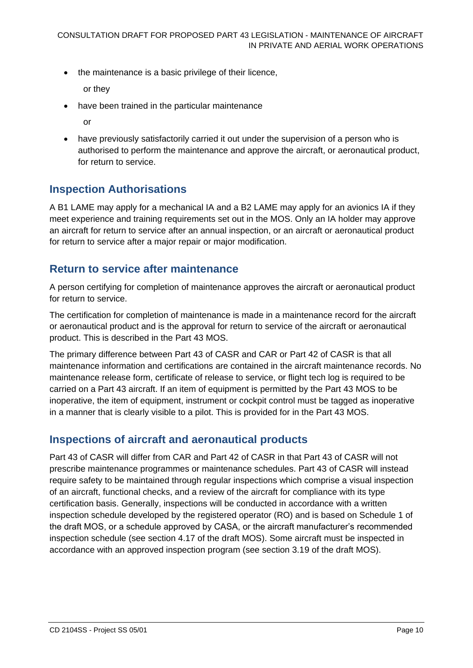• the maintenance is a basic privilege of their licence,

or they

- have been trained in the particular maintenance
	- or
- have previously satisfactorily carried it out under the supervision of a person who is authorised to perform the maintenance and approve the aircraft, or aeronautical product, for return to service.

#### <span id="page-9-0"></span>**Inspection Authorisations**

A B1 LAME may apply for a mechanical IA and a B2 LAME may apply for an avionics IA if they meet experience and training requirements set out in the MOS. Only an IA holder may approve an aircraft for return to service after an annual inspection, or an aircraft or aeronautical product for return to service after a major repair or major modification.

#### <span id="page-9-1"></span>**Return to service after maintenance**

A person certifying for completion of maintenance approves the aircraft or aeronautical product for return to service.

The certification for completion of maintenance is made in a maintenance record for the aircraft or aeronautical product and is the approval for return to service of the aircraft or aeronautical product. This is described in the Part 43 MOS.

The primary difference between Part 43 of CASR and CAR or Part 42 of CASR is that all maintenance information and certifications are contained in the aircraft maintenance records. No maintenance release form, certificate of release to service, or flight tech log is required to be carried on a Part 43 aircraft. If an item of equipment is permitted by the Part 43 MOS to be inoperative, the item of equipment, instrument or cockpit control must be tagged as inoperative in a manner that is clearly visible to a pilot. This is provided for in the Part 43 MOS.

#### <span id="page-9-2"></span>**Inspections of aircraft and aeronautical products**

Part 43 of CASR will differ from CAR and Part 42 of CASR in that Part 43 of CASR will not prescribe maintenance programmes or maintenance schedules. Part 43 of CASR will instead require safety to be maintained through regular inspections which comprise a visual inspection of an aircraft, functional checks, and a review of the aircraft for compliance with its type certification basis. Generally, inspections will be conducted in accordance with a written inspection schedule developed by the registered operator (RO) and is based on Schedule 1 of the draft MOS, or a schedule approved by CASA, or the aircraft manufacturer's recommended inspection schedule (see section 4.17 of the draft MOS). Some aircraft must be inspected in accordance with an approved inspection program (see section 3.19 of the draft MOS).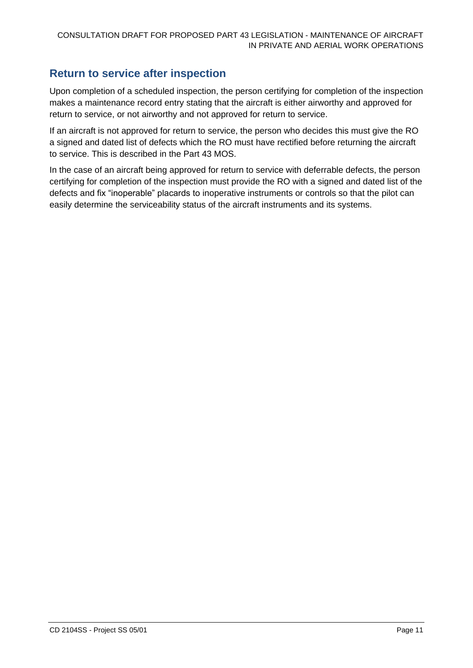### <span id="page-10-0"></span>**Return to service after inspection**

Upon completion of a scheduled inspection, the person certifying for completion of the inspection makes a maintenance record entry stating that the aircraft is either airworthy and approved for return to service, or not airworthy and not approved for return to service.

If an aircraft is not approved for return to service, the person who decides this must give the RO a signed and dated list of defects which the RO must have rectified before returning the aircraft to service. This is described in the Part 43 MOS.

In the case of an aircraft being approved for return to service with deferrable defects, the person certifying for completion of the inspection must provide the RO with a signed and dated list of the defects and fix "inoperable" placards to inoperative instruments or controls so that the pilot can easily determine the serviceability status of the aircraft instruments and its systems.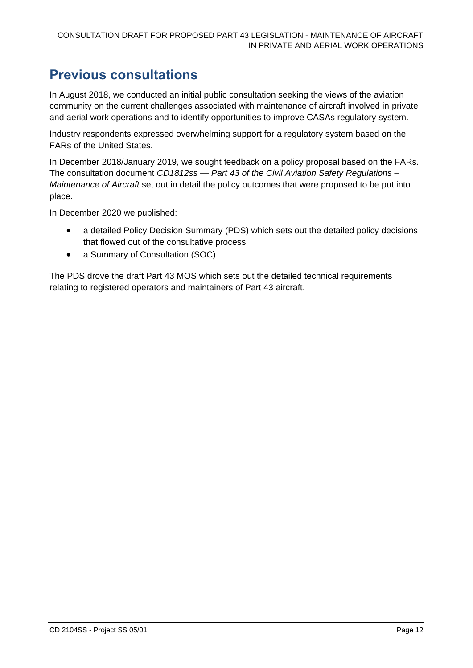# <span id="page-11-0"></span>**Previous consultations**

In August 2018, we conducted an initial public consultation seeking the views of the aviation community on the current challenges associated with maintenance of aircraft involved in private and aerial work operations and to identify opportunities to improve CASAs regulatory system.

Industry respondents expressed overwhelming support for a regulatory system based on the FARs of the United States.

In December 2018/January 2019, we sought feedback on a policy proposal based on the FARs. The consultation document *CD1812ss — Part 43 of the Civil Aviation Safety Regulations – Maintenance of Aircraft* set out in detail the policy outcomes that were proposed to be put into place.

In December 2020 we published:

- a detailed Policy Decision Summary (PDS) which sets out the detailed policy decisions that flowed out of the consultative process
- a Summary of Consultation (SOC)

The PDS drove the draft Part 43 MOS which sets out the detailed technical requirements relating to registered operators and maintainers of Part 43 aircraft.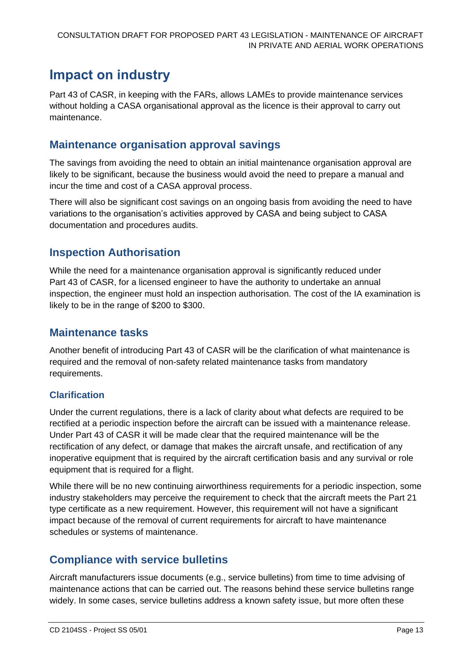# <span id="page-12-0"></span>**Impact on industry**

Part 43 of CASR, in keeping with the FARs, allows LAMEs to provide maintenance services without holding a CASA organisational approval as the licence is their approval to carry out maintenance.

#### <span id="page-12-1"></span>**Maintenance organisation approval savings**

The savings from avoiding the need to obtain an initial maintenance organisation approval are likely to be significant, because the business would avoid the need to prepare a manual and incur the time and cost of a CASA approval process.

There will also be significant cost savings on an ongoing basis from avoiding the need to have variations to the organisation's activities approved by CASA and being subject to CASA documentation and procedures audits.

### <span id="page-12-2"></span>**Inspection Authorisation**

While the need for a maintenance organisation approval is significantly reduced under Part 43 of CASR, for a licensed engineer to have the authority to undertake an annual inspection, the engineer must hold an inspection authorisation. The cost of the IA examination is likely to be in the range of \$200 to \$300.

#### <span id="page-12-3"></span>**Maintenance tasks**

Another benefit of introducing Part 43 of CASR will be the clarification of what maintenance is required and the removal of non-safety related maintenance tasks from mandatory requirements.

#### **Clarification**

Under the current regulations, there is a lack of clarity about what defects are required to be rectified at a periodic inspection before the aircraft can be issued with a maintenance release. Under Part 43 of CASR it will be made clear that the required maintenance will be the rectification of any defect, or damage that makes the aircraft unsafe, and rectification of any inoperative equipment that is required by the aircraft certification basis and any survival or role equipment that is required for a flight.

While there will be no new continuing airworthiness requirements for a periodic inspection, some industry stakeholders may perceive the requirement to check that the aircraft meets the Part 21 type certificate as a new requirement. However, this requirement will not have a significant impact because of the removal of current requirements for aircraft to have maintenance schedules or systems of maintenance.

## <span id="page-12-4"></span>**Compliance with service bulletins**

Aircraft manufacturers issue documents (e.g., service bulletins) from time to time advising of maintenance actions that can be carried out. The reasons behind these service bulletins range widely. In some cases, service bulletins address a known safety issue, but more often these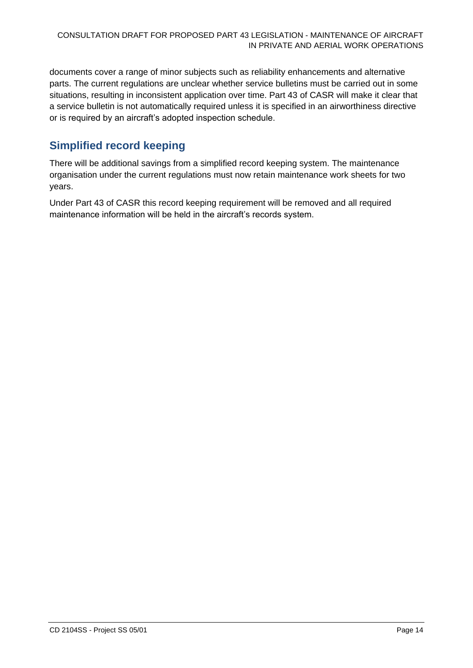documents cover a range of minor subjects such as reliability enhancements and alternative parts. The current regulations are unclear whether service bulletins must be carried out in some situations, resulting in inconsistent application over time. Part 43 of CASR will make it clear that a service bulletin is not automatically required unless it is specified in an airworthiness directive or is required by an aircraft's adopted inspection schedule.

### <span id="page-13-0"></span>**Simplified record keeping**

There will be additional savings from a simplified record keeping system. The maintenance organisation under the current regulations must now retain maintenance work sheets for two years.

Under Part 43 of CASR this record keeping requirement will be removed and all required maintenance information will be held in the aircraft's records system.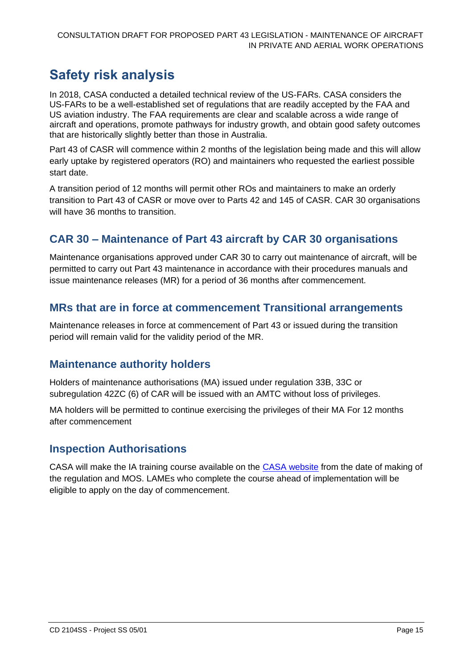# <span id="page-14-0"></span>**Safety risk analysis**

In 2018, CASA conducted a detailed technical review of the US-FARs. CASA considers the US-FARs to be a well-established set of regulations that are readily accepted by the FAA and US aviation industry. The FAA requirements are clear and scalable across a wide range of aircraft and operations, promote pathways for industry growth, and obtain good safety outcomes that are historically slightly better than those in Australia.

Part 43 of CASR will commence within 2 months of the legislation being made and this will allow early uptake by registered operators (RO) and maintainers who requested the earliest possible start date.

A transition period of 12 months will permit other ROs and maintainers to make an orderly transition to Part 43 of CASR or move over to Parts 42 and 145 of CASR. CAR 30 organisations will have 36 months to transition.

### <span id="page-14-1"></span>**CAR 30 – Maintenance of Part 43 aircraft by CAR 30 organisations**

Maintenance organisations approved under CAR 30 to carry out maintenance of aircraft, will be permitted to carry out Part 43 maintenance in accordance with their procedures manuals and issue maintenance releases (MR) for a period of 36 months after commencement.

### <span id="page-14-2"></span>**MRs that are in force at commencement Transitional arrangements**

Maintenance releases in force at commencement of Part 43 or issued during the transition period will remain valid for the validity period of the MR.

#### <span id="page-14-3"></span>**Maintenance authority holders**

Holders of maintenance authorisations (MA) issued under regulation 33B, 33C or subregulation 42ZC (6) of CAR will be issued with an AMTC without loss of privileges.

MA holders will be permitted to continue exercising the privileges of their MA For 12 months after commencement

#### <span id="page-14-4"></span>**Inspection Authorisations**

CASA will make the IA training course available on the [CASA website](https://www.casa.gov.au/) from the date of making of the regulation and MOS. LAMEs who complete the course ahead of implementation will be eligible to apply on the day of commencement.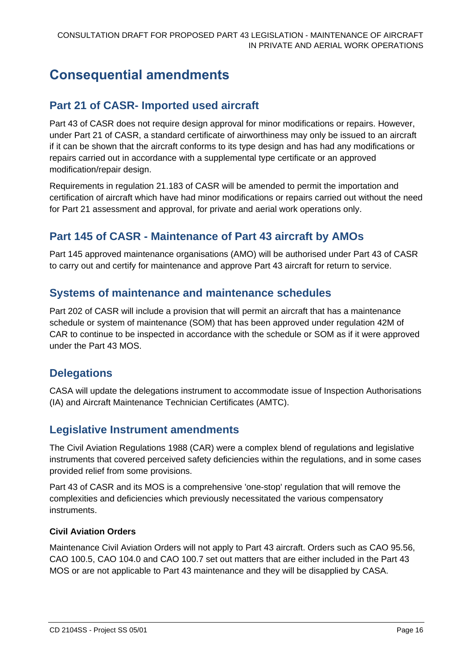# <span id="page-15-0"></span>**Consequential amendments**

### <span id="page-15-1"></span>**Part 21 of CASR- Imported used aircraft**

Part 43 of CASR does not require design approval for minor modifications or repairs. However, under Part 21 of CASR, a standard certificate of airworthiness may only be issued to an aircraft if it can be shown that the aircraft conforms to its type design and has had any modifications or repairs carried out in accordance with a supplemental type certificate or an approved modification/repair design.

Requirements in regulation 21.183 of CASR will be amended to permit the importation and certification of aircraft which have had minor modifications or repairs carried out without the need for Part 21 assessment and approval, for private and aerial work operations only.

### <span id="page-15-2"></span>**Part 145 of CASR - Maintenance of Part 43 aircraft by AMOs**

Part 145 approved maintenance organisations (AMO) will be authorised under Part 43 of CASR to carry out and certify for maintenance and approve Part 43 aircraft for return to service.

#### <span id="page-15-3"></span>**Systems of maintenance and maintenance schedules**

Part 202 of CASR will include a provision that will permit an aircraft that has a maintenance schedule or system of maintenance (SOM) that has been approved under regulation 42M of CAR to continue to be inspected in accordance with the schedule or SOM as if it were approved under the Part 43 MOS.

#### <span id="page-15-4"></span>**Delegations**

CASA will update the delegations instrument to accommodate issue of Inspection Authorisations (IA) and Aircraft Maintenance Technician Certificates (AMTC).

#### <span id="page-15-5"></span>**Legislative Instrument amendments**

The Civil Aviation Regulations 1988 (CAR) were a complex blend of regulations and legislative instruments that covered perceived safety deficiencies within the regulations, and in some cases provided relief from some provisions.

Part 43 of CASR and its MOS is a comprehensive 'one-stop' regulation that will remove the complexities and deficiencies which previously necessitated the various compensatory instruments.

#### **Civil Aviation Orders**

Maintenance Civil Aviation Orders will not apply to Part 43 aircraft. Orders such as CAO 95.56, CAO 100.5, CAO 104.0 and CAO 100.7 set out matters that are either included in the Part 43 MOS or are not applicable to Part 43 maintenance and they will be disapplied by CASA.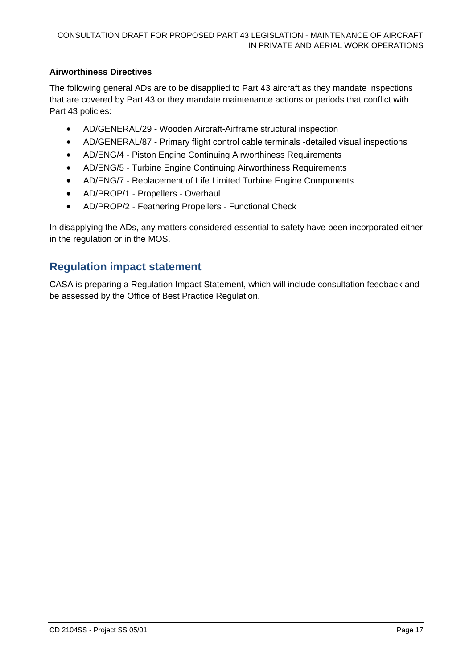#### **Airworthiness Directives**

The following general ADs are to be disapplied to Part 43 aircraft as they mandate inspections that are covered by Part 43 or they mandate maintenance actions or periods that conflict with Part 43 policies:

- AD/GENERAL/29 Wooden Aircraft-Airframe structural inspection
- AD/GENERAL/87 Primary flight control cable terminals -detailed visual inspections
- AD/ENG/4 Piston Engine Continuing Airworthiness Requirements
- AD/ENG/5 Turbine Engine Continuing Airworthiness Requirements
- AD/ENG/7 Replacement of Life Limited Turbine Engine Components
- AD/PROP/1 Propellers Overhaul
- AD/PROP/2 Feathering Propellers Functional Check

In disapplying the ADs, any matters considered essential to safety have been incorporated either in the regulation or in the MOS.

#### <span id="page-16-0"></span>**Regulation impact statement**

CASA is preparing a Regulation Impact Statement, which will include consultation feedback and be assessed by the Office of Best Practice Regulation.